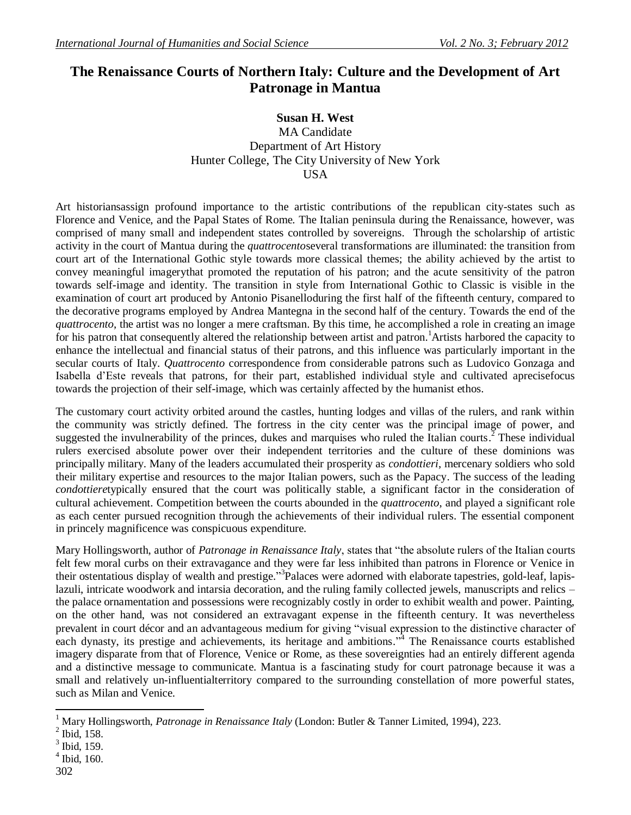## **The Renaissance Courts of Northern Italy: Culture and the Development of Art Patronage in Mantua**

## **Susan H. West**

MA Candidate Department of Art History Hunter College, The City University of New York USA

Art historiansassign profound importance to the artistic contributions of the republican city-states such as Florence and Venice, and the Papal States of Rome. The Italian peninsula during the Renaissance, however, was comprised of many small and independent states controlled by sovereigns. Through the scholarship of artistic activity in the court of Mantua during the *quattrocento*several transformations are illuminated: the transition from court art of the International Gothic style towards more classical themes; the ability achieved by the artist to convey meaningful imagerythat promoted the reputation of his patron; and the acute sensitivity of the patron towards self-image and identity. The transition in style from International Gothic to Classic is visible in the examination of court art produced by Antonio Pisanelloduring the first half of the fifteenth century, compared to the decorative programs employed by Andrea Mantegna in the second half of the century. Towards the end of the *quattrocento*, the artist was no longer a mere craftsman. By this time, he accomplished a role in creating an image for his patron that consequently altered the relationship between artist and patron.<sup>1</sup> Artists harbored the capacity to enhance the intellectual and financial status of their patrons, and this influence was particularly important in the secular courts of Italy. *Quattrocento* correspondence from considerable patrons such as Ludovico Gonzaga and Isabella d'Este reveals that patrons, for their part, established individual style and cultivated aprecisefocus towards the projection of their self-image, which was certainly affected by the humanist ethos.

The customary court activity orbited around the castles, hunting lodges and villas of the rulers, and rank within the community was strictly defined. The fortress in the city center was the principal image of power, and suggested the invulnerability of the princes, dukes and marquises who ruled the Italian courts.<sup>2</sup> These individual rulers exercised absolute power over their independent territories and the culture of these dominions was principally military. Many of the leaders accumulated their prosperity as *condottieri*, mercenary soldiers who sold their military expertise and resources to the major Italian powers, such as the Papacy. The success of the leading *condottiere*typically ensured that the court was politically stable, a significant factor in the consideration of cultural achievement. Competition between the courts abounded in the *quattrocento*, and played a significant role as each center pursued recognition through the achievements of their individual rulers. The essential component in princely magnificence was conspicuous expenditure.

Mary Hollingsworth, author of *Patronage in Renaissance Italy*, states that "the absolute rulers of the Italian courts felt few moral curbs on their extravagance and they were far less inhibited than patrons in Florence or Venice in their ostentatious display of wealth and prestige."<sup>3</sup>Palaces were adorned with elaborate tapestries, gold-leaf, lapislazuli, intricate woodwork and intarsia decoration, and the ruling family collected jewels, manuscripts and relics – the palace ornamentation and possessions were recognizably costly in order to exhibit wealth and power. Painting, on the other hand, was not considered an extravagant expense in the fifteenth century. It was nevertheless prevalent in court décor and an advantageous medium for giving "visual expression to the distinctive character of each dynasty, its prestige and achievements, its heritage and ambitions."<sup>4</sup> The Renaissance courts established imagery disparate from that of Florence, Venice or Rome, as these sovereignties had an entirely different agenda and a distinctive message to communicate. Mantua is a fascinating study for court patronage because it was a small and relatively un-influentialterritory compared to the surrounding constellation of more powerful states, such as Milan and Venice.

 $\overline{\phantom{a}}$ <sup>1</sup> Mary Hollingsworth, *Patronage in Renaissance Italy* (London: Butler & Tanner Limited, 1994), 223.

 $<sup>2</sup>$  Ibid, 158.</sup>

 $3$  Ibid, 159.

<sup>4</sup> Ibid, 160.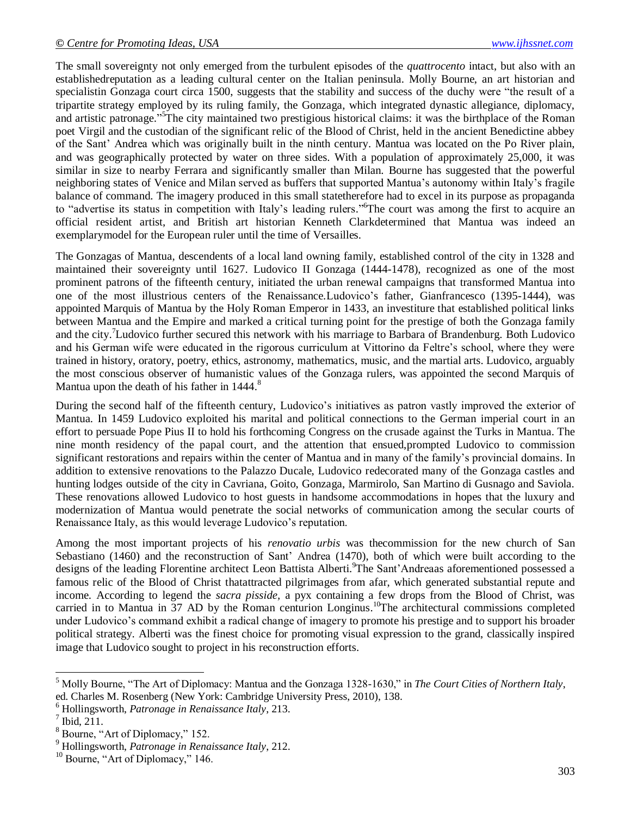The small sovereignty not only emerged from the turbulent episodes of the *quattrocento* intact, but also with an establishedreputation as a leading cultural center on the Italian peninsula. Molly Bourne, an art historian and specialistin Gonzaga court circa 1500, suggests that the stability and success of the duchy were "the result of a tripartite strategy employed by its ruling family, the Gonzaga, which integrated dynastic allegiance, diplomacy, and artistic patronage."<sup>5</sup>The city maintained two prestigious historical claims: it was the birthplace of the Roman poet Virgil and the custodian of the significant relic of the Blood of Christ, held in the ancient Benedictine abbey of the Sant' Andrea which was originally built in the ninth century. Mantua was located on the Po River plain, and was geographically protected by water on three sides. With a population of approximately 25,000, it was similar in size to nearby Ferrara and significantly smaller than Milan. Bourne has suggested that the powerful neighboring states of Venice and Milan served as buffers that supported Mantua's autonomy within Italy's fragile balance of command. The imagery produced in this small statetherefore had to excel in its purpose as propaganda to "advertise its status in competition with Italy's leading rulers."<sup>6</sup>The court was among the first to acquire an official resident artist, and British art historian Kenneth Clarkdetermined that Mantua was indeed an exemplarymodel for the European ruler until the time of Versailles.

The Gonzagas of Mantua, descendents of a local land owning family, established control of the city in 1328 and maintained their sovereignty until 1627. Ludovico II Gonzaga (1444-1478), recognized as one of the most prominent patrons of the fifteenth century, initiated the urban renewal campaigns that transformed Mantua into one of the most illustrious centers of the Renaissance.Ludovico's father, Gianfrancesco (1395-1444), was appointed Marquis of Mantua by the Holy Roman Emperor in 1433, an investiture that established political links between Mantua and the Empire and marked a critical turning point for the prestige of both the Gonzaga family and the city. <sup>7</sup>Ludovico further secured this network with his marriage to Barbara of Brandenburg. Both Ludovico and his German wife were educated in the rigorous curriculum at Vittorino da Feltre's school, where they were trained in history, oratory, poetry, ethics, astronomy, mathematics, music, and the martial arts. Ludovico, arguably the most conscious observer of humanistic values of the Gonzaga rulers, was appointed the second Marquis of Mantua upon the death of his father in 1444.<sup>8</sup>

During the second half of the fifteenth century, Ludovico's initiatives as patron vastly improved the exterior of Mantua. In 1459 Ludovico exploited his marital and political connections to the German imperial court in an effort to persuade Pope Pius II to hold his forthcoming Congress on the crusade against the Turks in Mantua. The nine month residency of the papal court, and the attention that ensued,prompted Ludovico to commission significant restorations and repairs within the center of Mantua and in many of the family's provincial domains. In addition to extensive renovations to the Palazzo Ducale, Ludovico redecorated many of the Gonzaga castles and hunting lodges outside of the city in Cavriana, Goito, Gonzaga, Marmirolo, San Martino di Gusnago and Saviola. These renovations allowed Ludovico to host guests in handsome accommodations in hopes that the luxury and modernization of Mantua would penetrate the social networks of communication among the secular courts of Renaissance Italy, as this would leverage Ludovico's reputation.

Among the most important projects of his *renovatio urbis* was thecommission for the new church of San Sebastiano (1460) and the reconstruction of Sant' Andrea (1470), both of which were built according to the designs of the leading Florentine architect Leon Battista Alberti. <sup>9</sup>The Sant'Andreaas aforementioned possessed a famous relic of the Blood of Christ thatattracted pilgrimages from afar, which generated substantial repute and income. According to legend the *sacra pisside,* a pyx containing a few drops from the Blood of Christ, was carried in to Mantua in 37 AD by the Roman centurion Longinus.<sup>10</sup>The architectural commissions completed under Ludovico's command exhibit a radical change of imagery to promote his prestige and to support his broader political strategy. Alberti was the finest choice for promoting visual expression to the grand, classically inspired image that Ludovico sought to project in his reconstruction efforts.

 $\overline{a}$ <sup>5</sup> Molly Bourne, "The Art of Diplomacy: Mantua and the Gonzaga 1328-1630," in *The Court Cities of Northern Italy*, ed. Charles M. Rosenberg (New York: Cambridge University Press, 2010), 138.

<sup>6</sup> Hollingsworth, *Patronage in Renaissance Italy*, 213.

 $^7$  Ibid, 211.

<sup>8</sup> Bourne, "Art of Diplomacy," 152.

<sup>9</sup> Hollingsworth, *Patronage in Renaissance Italy*, 212.

<sup>&</sup>lt;sup>10</sup> Bourne, "Art of Diplomacy," 146.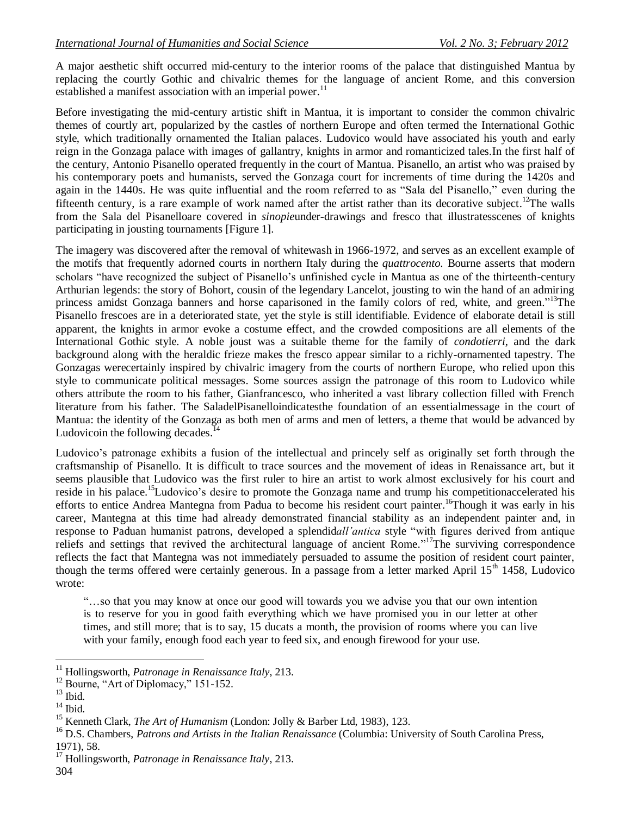A major aesthetic shift occurred mid-century to the interior rooms of the palace that distinguished Mantua by replacing the courtly Gothic and chivalric themes for the language of ancient Rome, and this conversion established a manifest association with an imperial power.<sup>11</sup>

Before investigating the mid-century artistic shift in Mantua, it is important to consider the common chivalric themes of courtly art, popularized by the castles of northern Europe and often termed the International Gothic style, which traditionally ornamented the Italian palaces. Ludovico would have associated his youth and early reign in the Gonzaga palace with images of gallantry, knights in armor and romanticized tales.In the first half of the century, Antonio Pisanello operated frequently in the court of Mantua. Pisanello, an artist who was praised by his contemporary poets and humanists, served the Gonzaga court for increments of time during the 1420s and again in the 1440s. He was quite influential and the room referred to as "Sala del Pisanello," even during the fifteenth century, is a rare example of work named after the artist rather than its decorative subject.<sup>12</sup>The walls from the Sala del Pisanelloare covered in *sinopie*under-drawings and fresco that illustratesscenes of knights participating in jousting tournaments [Figure 1].

The imagery was discovered after the removal of whitewash in 1966-1972, and serves as an excellent example of the motifs that frequently adorned courts in northern Italy during the *quattrocento.* Bourne asserts that modern scholars "have recognized the subject of Pisanello's unfinished cycle in Mantua as one of the thirteenth-century Arthurian legends: the story of Bohort, cousin of the legendary Lancelot, jousting to win the hand of an admiring princess amidst Gonzaga banners and horse caparisoned in the family colors of red, white, and green."<sup>13</sup>The Pisanello frescoes are in a deteriorated state, yet the style is still identifiable. Evidence of elaborate detail is still apparent, the knights in armor evoke a costume effect, and the crowded compositions are all elements of the International Gothic style. A noble joust was a suitable theme for the family of *condotierri*, and the dark background along with the heraldic frieze makes the fresco appear similar to a richly-ornamented tapestry. The Gonzagas werecertainly inspired by chivalric imagery from the courts of northern Europe, who relied upon this style to communicate political messages. Some sources assign the patronage of this room to Ludovico while others attribute the room to his father, Gianfrancesco, who inherited a vast library collection filled with French literature from his father. The SaladelPisanelloindicatesthe foundation of an essentialmessage in the court of Mantua: the identity of the Gonzaga as both men of arms and men of letters, a theme that would be advanced by Ludovicoin the following decades.<sup>14</sup>

Ludovico's patronage exhibits a fusion of the intellectual and princely self as originally set forth through the craftsmanship of Pisanello. It is difficult to trace sources and the movement of ideas in Renaissance art, but it seems plausible that Ludovico was the first ruler to hire an artist to work almost exclusively for his court and reside in his palace.<sup>15</sup>Ludovico's desire to promote the Gonzaga name and trump his competitionaccelerated his efforts to entice Andrea Mantegna from Padua to become his resident court painter.<sup>16</sup>Though it was early in his career, Mantegna at this time had already demonstrated financial stability as an independent painter and, in response to Paduan humanist patrons, developed a splendid*all'antica* style "with figures derived from antique reliefs and settings that revived the architectural language of ancient Rome."<sup>17</sup>The surviving correspondence reflects the fact that Mantegna was not immediately persuaded to assume the position of resident court painter, though the terms offered were certainly generous. In a passage from a letter marked April  $15<sup>th</sup> 1458$ , Ludovico wrote:

"…so that you may know at once our good will towards you we advise you that our own intention is to reserve for you in good faith everything which we have promised you in our letter at other times, and still more; that is to say, 15 ducats a month, the provision of rooms where you can live with your family, enough food each year to feed six, and enough firewood for your use.

 $\overline{a}$ <sup>11</sup> Hollingsworth, *Patronage in Renaissance Italy*, 213.

<sup>&</sup>lt;sup>12</sup> Bourne, "Art of Diplomacy," 151-152.

 $^{13}$  Ibid.  $\,$ 

 $14$  Ibid.

<sup>15</sup> Kenneth Clark, *The Art of Humanism* (London: Jolly & Barber Ltd, 1983), 123.

<sup>&</sup>lt;sup>16</sup> D.S. Chambers, *Patrons and Artists in the Italian Renaissance* (Columbia: University of South Carolina Press, 1971), 58.

<sup>17</sup> Hollingsworth, *Patronage in Renaissance Italy*, 213.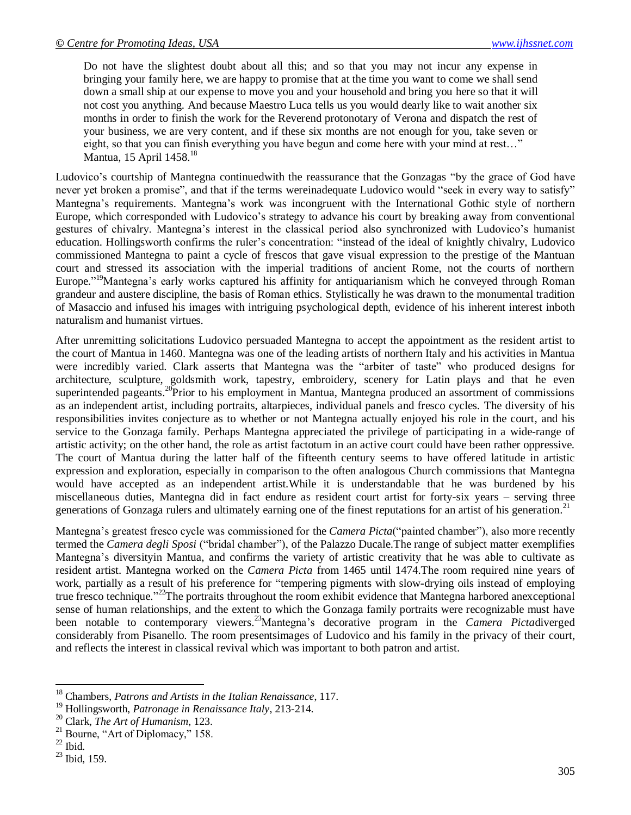Do not have the slightest doubt about all this; and so that you may not incur any expense in bringing your family here, we are happy to promise that at the time you want to come we shall send down a small ship at our expense to move you and your household and bring you here so that it will not cost you anything. And because Maestro Luca tells us you would dearly like to wait another six months in order to finish the work for the Reverend protonotary of Verona and dispatch the rest of your business, we are very content, and if these six months are not enough for you, take seven or eight, so that you can finish everything you have begun and come here with your mind at rest..." Mantua, 15 April 1458.<sup>18</sup>

Ludovico's courtship of Mantegna continuedwith the reassurance that the Gonzagas "by the grace of God have never yet broken a promise", and that if the terms wereinadequate Ludovico would "seek in every way to satisfy" Mantegna's requirements. Mantegna's work was incongruent with the International Gothic style of northern Europe, which corresponded with Ludovico's strategy to advance his court by breaking away from conventional gestures of chivalry. Mantegna's interest in the classical period also synchronized with Ludovico's humanist education. Hollingsworth confirms the ruler's concentration: "instead of the ideal of knightly chivalry, Ludovico commissioned Mantegna to paint a cycle of frescos that gave visual expression to the prestige of the Mantuan court and stressed its association with the imperial traditions of ancient Rome, not the courts of northern Europe."<sup>19</sup>Mantegna's early works captured his affinity for antiquarianism which he conveyed through Roman grandeur and austere discipline, the basis of Roman ethics. Stylistically he was drawn to the monumental tradition of Masaccio and infused his images with intriguing psychological depth, evidence of his inherent interest inboth naturalism and humanist virtues.

After unremitting solicitations Ludovico persuaded Mantegna to accept the appointment as the resident artist to the court of Mantua in 1460. Mantegna was one of the leading artists of northern Italy and his activities in Mantua were incredibly varied. Clark asserts that Mantegna was the "arbiter of taste" who produced designs for architecture, sculpture, goldsmith work, tapestry, embroidery, scenery for Latin plays and that he even superintended pageants.<sup>20</sup>Prior to his employment in Mantua, Mantegna produced an assortment of commissions as an independent artist, including portraits, altarpieces, individual panels and fresco cycles. The diversity of his responsibilities invites conjecture as to whether or not Mantegna actually enjoyed his role in the court, and his service to the Gonzaga family. Perhaps Mantegna appreciated the privilege of participating in a wide-range of artistic activity; on the other hand, the role as artist factotum in an active court could have been rather oppressive. The court of Mantua during the latter half of the fifteenth century seems to have offered latitude in artistic expression and exploration, especially in comparison to the often analogous Church commissions that Mantegna would have accepted as an independent artist.While it is understandable that he was burdened by his miscellaneous duties, Mantegna did in fact endure as resident court artist for forty-six years – serving three generations of Gonzaga rulers and ultimately earning one of the finest reputations for an artist of his generation.<sup>21</sup>

Mantegna's greatest fresco cycle was commissioned for the *Camera Picta*("painted chamber"), also more recently termed the *Camera degli Sposi* ("bridal chamber"), of the Palazzo Ducale.The range of subject matter exemplifies Mantegna's diversityin Mantua, and confirms the variety of artistic creativity that he was able to cultivate as resident artist. Mantegna worked on the *Camera Picta* from 1465 until 1474.The room required nine years of work, partially as a result of his preference for "tempering pigments with slow-drying oils instead of employing true fresco technique."<sup>22</sup>The portraits throughout the room exhibit evidence that Mantegna harbored anexceptional sense of human relationships, and the extent to which the Gonzaga family portraits were recognizable must have been notable to contemporary viewers. <sup>23</sup>Mantegna's decorative program in the *Camera Picta*diverged considerably from Pisanello. The room presentsimages of Ludovico and his family in the privacy of their court, and reflects the interest in classical revival which was important to both patron and artist.

 $\overline{a}$ <sup>18</sup> Chambers, *Patrons and Artists in the Italian Renaissance*, 117.

<sup>19</sup> Hollingsworth, *Patronage in Renaissance Italy*, 213-214.

<sup>20</sup> Clark, *The Art of Humanism*, 123.

 $21$  Bourne, "Art of Diplomacy," 158.

 $22$  Ibid.

 $^{23}$  Ibid, 159.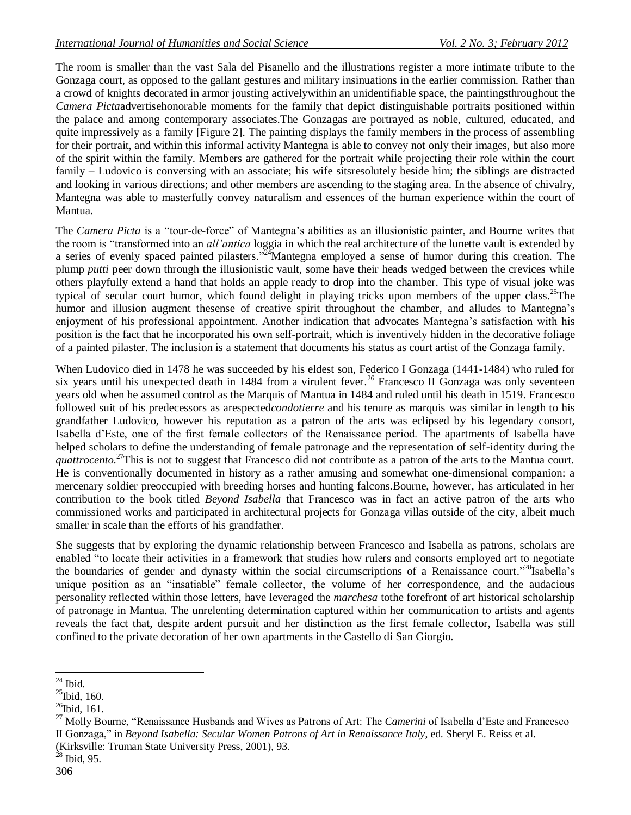The room is smaller than the vast Sala del Pisanello and the illustrations register a more intimate tribute to the Gonzaga court, as opposed to the gallant gestures and military insinuations in the earlier commission. Rather than a crowd of knights decorated in armor jousting activelywithin an unidentifiable space, the paintingsthroughout the *Camera Picta*advertisehonorable moments for the family that depict distinguishable portraits positioned within the palace and among contemporary associates.The Gonzagas are portrayed as noble, cultured, educated, and quite impressively as a family [Figure 2]. The painting displays the family members in the process of assembling for their portrait, and within this informal activity Mantegna is able to convey not only their images, but also more of the spirit within the family. Members are gathered for the portrait while projecting their role within the court family – Ludovico is conversing with an associate; his wife sitsresolutely beside him; the siblings are distracted and looking in various directions; and other members are ascending to the staging area. In the absence of chivalry, Mantegna was able to masterfully convey naturalism and essences of the human experience within the court of Mantua.

The *Camera Picta* is a "tour-de-force" of Mantegna's abilities as an illusionistic painter, and Bourne writes that the room is "transformed into an *all'antica* loggia in which the real architecture of the lunette vault is extended by a series of evenly spaced painted pilasters."<sup>24</sup>Mantegna employed a sense of humor during this creation. The plump *putti* peer down through the illusionistic vault, some have their heads wedged between the crevices while others playfully extend a hand that holds an apple ready to drop into the chamber. This type of visual joke was typical of secular court humor, which found delight in playing tricks upon members of the upper class.<sup>25</sup>The humor and illusion augment thesense of creative spirit throughout the chamber, and alludes to Mantegna's enjoyment of his professional appointment. Another indication that advocates Mantegna's satisfaction with his position is the fact that he incorporated his own self-portrait, which is inventively hidden in the decorative foliage of a painted pilaster. The inclusion is a statement that documents his status as court artist of the Gonzaga family.

When Ludovico died in 1478 he was succeeded by his eldest son, Federico I Gonzaga (1441-1484) who ruled for six years until his unexpected death in 1484 from a virulent fever. <sup>26</sup> Francesco II Gonzaga was only seventeen years old when he assumed control as the Marquis of Mantua in 1484 and ruled until his death in 1519. Francesco followed suit of his predecessors as arespected*condotierre* and his tenure as marquis was similar in length to his grandfather Ludovico, however his reputation as a patron of the arts was eclipsed by his legendary consort, Isabella d'Este, one of the first female collectors of the Renaissance period. The apartments of Isabella have helped scholars to define the understanding of female patronage and the representation of self-identity during the quattrocento.<sup>27</sup>This is not to suggest that Francesco did not contribute as a patron of the arts to the Mantua court. He is conventionally documented in history as a rather amusing and somewhat one-dimensional companion: a mercenary soldier preoccupied with breeding horses and hunting falcons.Bourne, however, has articulated in her contribution to the book titled *Beyond Isabella* that Francesco was in fact an active patron of the arts who commissioned works and participated in architectural projects for Gonzaga villas outside of the city, albeit much smaller in scale than the efforts of his grandfather.

She suggests that by exploring the dynamic relationship between Francesco and Isabella as patrons, scholars are enabled "to locate their activities in a framework that studies how rulers and consorts employed art to negotiate the boundaries of gender and dynasty within the social circumscriptions of a Renaissance court."<sup>28</sup>Isabella's unique position as an "insatiable" female collector, the volume of her correspondence, and the audacious personality reflected within those letters, have leveraged the *marchesa* tothe forefront of art historical scholarship of patronage in Mantua. The unrelenting determination captured within her communication to artists and agents reveals the fact that, despite ardent pursuit and her distinction as the first female collector, Isabella was still confined to the private decoration of her own apartments in the Castello di San Giorgio.

 $\overline{a}$  $24$  Ibid.

 $^{25}$ Ibid, 160.

 $^{26}$ Ibid, 161.

<sup>27</sup> Molly Bourne, "Renaissance Husbands and Wives as Patrons of Art: The *Camerini* of Isabella d'Este and Francesco II Gonzaga," in *Beyond Isabella: Secular Women Patrons of Art in Renaissance Italy*, ed. Sheryl E. Reiss et al. (Kirksville: Truman State University Press, 2001), 93.

 $^{28}$  Ibid, 95.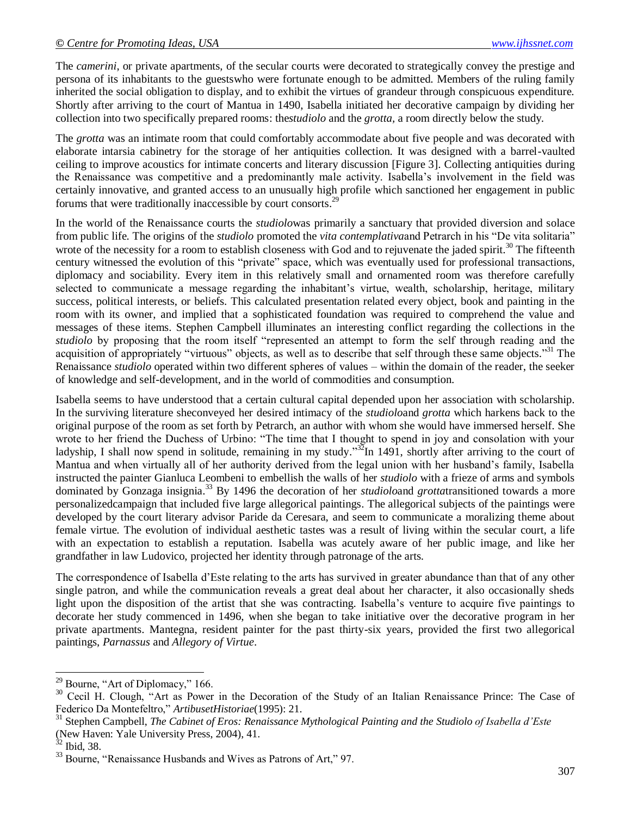The *camerini*, or private apartments, of the secular courts were decorated to strategically convey the prestige and persona of its inhabitants to the guestswho were fortunate enough to be admitted. Members of the ruling family inherited the social obligation to display, and to exhibit the virtues of grandeur through conspicuous expenditure. Shortly after arriving to the court of Mantua in 1490, Isabella initiated her decorative campaign by dividing her collection into two specifically prepared rooms: the*studiolo* and the *grotta,* a room directly below the study*.* 

The *grotta* was an intimate room that could comfortably accommodate about five people and was decorated with elaborate intarsia cabinetry for the storage of her antiquities collection. It was designed with a barrel-vaulted ceiling to improve acoustics for intimate concerts and literary discussion [Figure 3]. Collecting antiquities during the Renaissance was competitive and a predominantly male activity. Isabella's involvement in the field was certainly innovative, and granted access to an unusually high profile which sanctioned her engagement in public forums that were traditionally inaccessible by court consorts.<sup>29</sup>

In the world of the Renaissance courts the *studiolo*was primarily a sanctuary that provided diversion and solace from public life. The origins of the *studiolo* promoted the *vita contemplativa*and Petrarch in his "De vita solitaria" wrote of the necessity for a room to establish closeness with God and to rejuvenate the jaded spirit.<sup>30</sup> The fifteenth century witnessed the evolution of this "private" space, which was eventually used for professional transactions, diplomacy and sociability. Every item in this relatively small and ornamented room was therefore carefully selected to communicate a message regarding the inhabitant's virtue, wealth, scholarship, heritage, military success, political interests, or beliefs. This calculated presentation related every object, book and painting in the room with its owner, and implied that a sophisticated foundation was required to comprehend the value and messages of these items. Stephen Campbell illuminates an interesting conflict regarding the collections in the *studiolo* by proposing that the room itself "represented an attempt to form the self through reading and the acquisition of appropriately "virtuous" objects, as well as to describe that self through these same objects."<sup>31</sup> The Renaissance *studiolo* operated within two different spheres of values – within the domain of the reader, the seeker of knowledge and self-development, and in the world of commodities and consumption.

Isabella seems to have understood that a certain cultural capital depended upon her association with scholarship. In the surviving literature sheconveyed her desired intimacy of the *studiolo*and *grotta* which harkens back to the original purpose of the room as set forth by Petrarch, an author with whom she would have immersed herself. She wrote to her friend the Duchess of Urbino: "The time that I thought to spend in joy and consolation with your ladyship, I shall now spend in solitude, remaining in my study."<sup>32</sup>In 1491, shortly after arriving to the court of Mantua and when virtually all of her authority derived from the legal union with her husband's family, Isabella instructed the painter Gianluca Leombeni to embellish the walls of her *studiolo* with a frieze of arms and symbols dominated by Gonzaga insignia. <sup>33</sup> By 1496 the decoration of her *studiolo*and *grotta*transitioned towards a more personalizedcampaign that included five large allegorical paintings. The allegorical subjects of the paintings were developed by the court literary advisor Paride da Ceresara, and seem to communicate a moralizing theme about female virtue. The evolution of individual aesthetic tastes was a result of living within the secular court, a life with an expectation to establish a reputation. Isabella was acutely aware of her public image, and like her grandfather in law Ludovico, projected her identity through patronage of the arts.

The correspondence of Isabella d'Este relating to the arts has survived in greater abundance than that of any other single patron, and while the communication reveals a great deal about her character, it also occasionally sheds light upon the disposition of the artist that she was contracting. Isabella's venture to acquire five paintings to decorate her study commenced in 1496, when she began to take initiative over the decorative program in her private apartments. Mantegna, resident painter for the past thirty-six years, provided the first two allegorical paintings, *Parnassus* and *Allegory of Virtue*.

 $\overline{a}$ 

 $29$  Bourne, "Art of Diplomacy," 166.

<sup>&</sup>lt;sup>30</sup> Cecil H. Clough, "Art as Power in the Decoration of the Study of an Italian Renaissance Prince: The Case of Federico Da Montefeltro," *ArtibusetHistoriae*(1995): 21.

<sup>31</sup> Stephen Campbell, *The Cabinet of Eros: Renaissance Mythological Painting and the Studiolo of Isabella d'Este* (New Haven: Yale University Press, 2004), 41.

 $32$  Ibid, 38.

<sup>&</sup>lt;sup>33</sup> Bourne, "Renaissance Husbands and Wives as Patrons of Art," 97.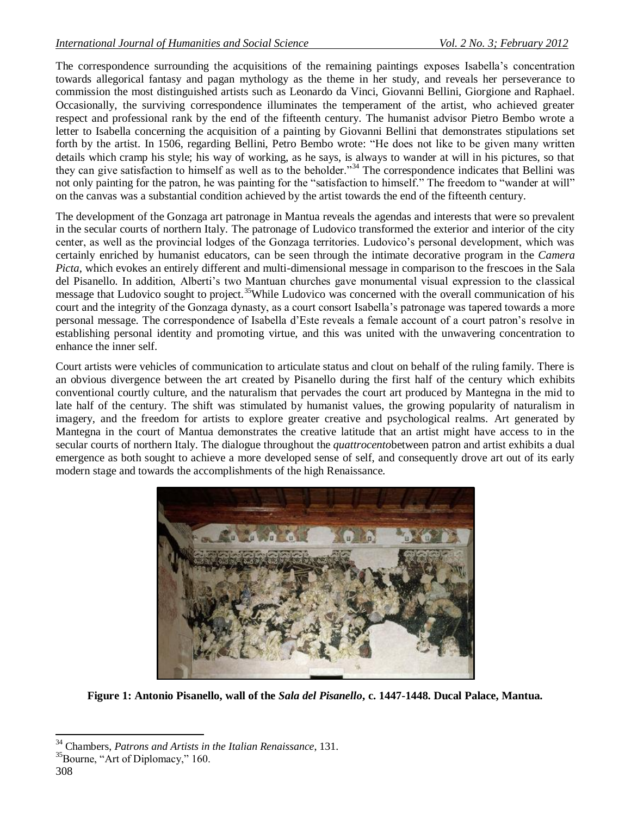The correspondence surrounding the acquisitions of the remaining paintings exposes Isabella's concentration towards allegorical fantasy and pagan mythology as the theme in her study, and reveals her perseverance to commission the most distinguished artists such as Leonardo da Vinci, Giovanni Bellini, Giorgione and Raphael. Occasionally, the surviving correspondence illuminates the temperament of the artist, who achieved greater respect and professional rank by the end of the fifteenth century. The humanist advisor Pietro Bembo wrote a letter to Isabella concerning the acquisition of a painting by Giovanni Bellini that demonstrates stipulations set forth by the artist. In 1506, regarding Bellini, Petro Bembo wrote: "He does not like to be given many written details which cramp his style; his way of working, as he says, is always to wander at will in his pictures, so that they can give satisfaction to himself as well as to the beholder."<sup>34</sup> The correspondence indicates that Bellini was not only painting for the patron, he was painting for the "satisfaction to himself." The freedom to "wander at will" on the canvas was a substantial condition achieved by the artist towards the end of the fifteenth century.

The development of the Gonzaga art patronage in Mantua reveals the agendas and interests that were so prevalent in the secular courts of northern Italy. The patronage of Ludovico transformed the exterior and interior of the city center, as well as the provincial lodges of the Gonzaga territories. Ludovico's personal development, which was certainly enriched by humanist educators, can be seen through the intimate decorative program in the *Camera Picta*, which evokes an entirely different and multi-dimensional message in comparison to the frescoes in the Sala del Pisanello. In addition, Alberti's two Mantuan churches gave monumental visual expression to the classical message that Ludovico sought to project.<sup>35</sup>While Ludovico was concerned with the overall communication of his court and the integrity of the Gonzaga dynasty, as a court consort Isabella's patronage was tapered towards a more personal message. The correspondence of Isabella d'Este reveals a female account of a court patron's resolve in establishing personal identity and promoting virtue, and this was united with the unwavering concentration to enhance the inner self.

Court artists were vehicles of communication to articulate status and clout on behalf of the ruling family. There is an obvious divergence between the art created by Pisanello during the first half of the century which exhibits conventional courtly culture, and the naturalism that pervades the court art produced by Mantegna in the mid to late half of the century. The shift was stimulated by humanist values, the growing popularity of naturalism in imagery, and the freedom for artists to explore greater creative and psychological realms. Art generated by Mantegna in the court of Mantua demonstrates the creative latitude that an artist might have access to in the secular courts of northern Italy. The dialogue throughout the *quattrocento*between patron and artist exhibits a dual emergence as both sought to achieve a more developed sense of self, and consequently drove art out of its early modern stage and towards the accomplishments of the high Renaissance.



**Figure 1: Antonio Pisanello, wall of the** *Sala del Pisanello***, c. 1447-1448. Ducal Palace, Mantua.**

 $\overline{\phantom{a}}$ 

<sup>34</sup> Chambers, *Patrons and Artists in the Italian Renaissance*, 131.